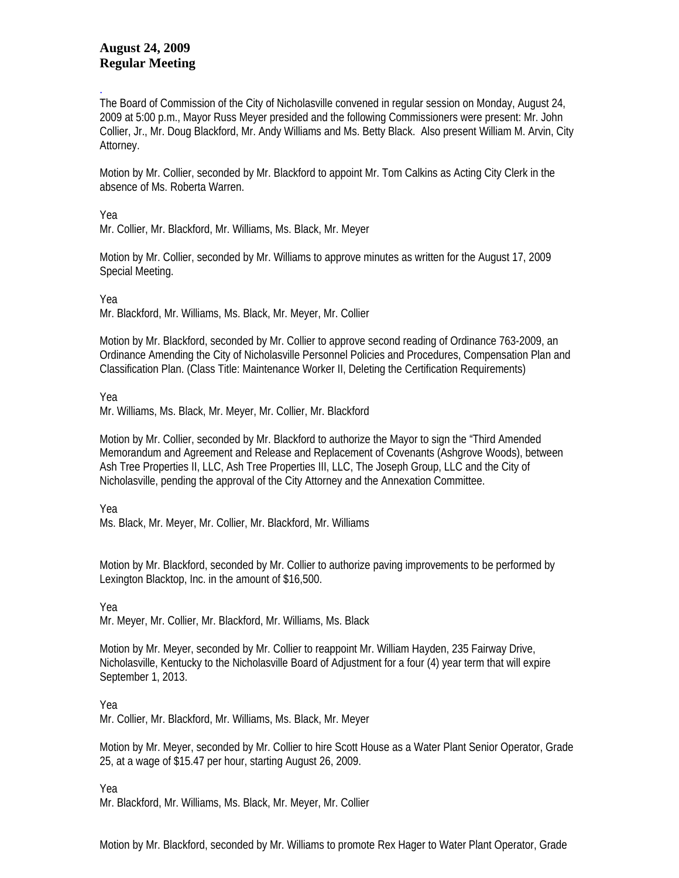## **August 24, 2009 Regular Meeting**

. The Board of Commission of the City of Nicholasville convened in regular session on Monday, August 24, 2009 at 5:00 p.m., Mayor Russ Meyer presided and the following Commissioners were present: Mr. John Collier, Jr., Mr. Doug Blackford, Mr. Andy Williams and Ms. Betty Black. Also present William M. Arvin, City Attorney.

Motion by Mr. Collier, seconded by Mr. Blackford to appoint Mr. Tom Calkins as Acting City Clerk in the absence of Ms. Roberta Warren.

## Yea

Mr. Collier, Mr. Blackford, Mr. Williams, Ms. Black, Mr. Meyer

Motion by Mr. Collier, seconded by Mr. Williams to approve minutes as written for the August 17, 2009 Special Meeting.

Yea

Mr. Blackford, Mr. Williams, Ms. Black, Mr. Meyer, Mr. Collier

Motion by Mr. Blackford, seconded by Mr. Collier to approve second reading of Ordinance 763-2009, an Ordinance Amending the City of Nicholasville Personnel Policies and Procedures, Compensation Plan and Classification Plan. (Class Title: Maintenance Worker II, Deleting the Certification Requirements)

Yea

Mr. Williams, Ms. Black, Mr. Meyer, Mr. Collier, Mr. Blackford

Motion by Mr. Collier, seconded by Mr. Blackford to authorize the Mayor to sign the "Third Amended Memorandum and Agreement and Release and Replacement of Covenants (Ashgrove Woods), between Ash Tree Properties II, LLC, Ash Tree Properties III, LLC, The Joseph Group, LLC and the City of Nicholasville, pending the approval of the City Attorney and the Annexation Committee.

Yea

Ms. Black, Mr. Meyer, Mr. Collier, Mr. Blackford, Mr. Williams

Motion by Mr. Blackford, seconded by Mr. Collier to authorize paving improvements to be performed by Lexington Blacktop, Inc. in the amount of \$16,500.

Yea

Mr. Meyer, Mr. Collier, Mr. Blackford, Mr. Williams, Ms. Black

Motion by Mr. Meyer, seconded by Mr. Collier to reappoint Mr. William Hayden, 235 Fairway Drive, Nicholasville, Kentucky to the Nicholasville Board of Adjustment for a four (4) year term that will expire September 1, 2013.

Yea

Mr. Collier, Mr. Blackford, Mr. Williams, Ms. Black, Mr. Meyer

Motion by Mr. Meyer, seconded by Mr. Collier to hire Scott House as a Water Plant Senior Operator, Grade 25, at a wage of \$15.47 per hour, starting August 26, 2009.

Yea

Mr. Blackford, Mr. Williams, Ms. Black, Mr. Meyer, Mr. Collier